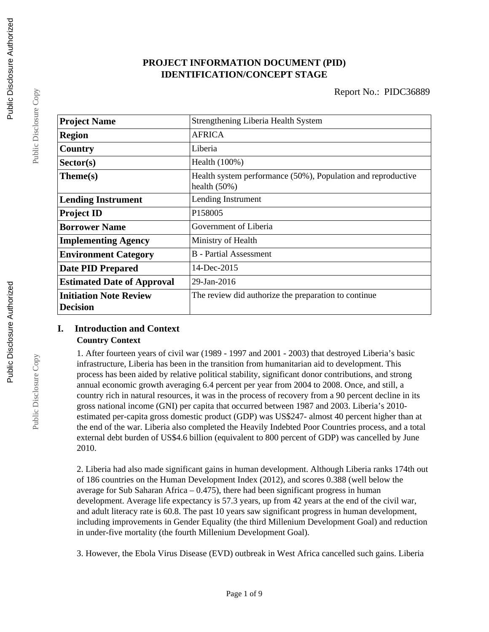# **PROJECT INFORMATION DOCUMENT (PID) IDENTIFICATION/CONCEPT STAGE**

| <b>Project Name</b>                              | Strengthening Liberia Health System                                             |
|--------------------------------------------------|---------------------------------------------------------------------------------|
| <b>Region</b>                                    | <b>AFRICA</b>                                                                   |
| Country                                          | Liberia                                                                         |
| Sector(s)                                        | Health (100%)                                                                   |
| Theme(s)                                         | Health system performance (50%), Population and reproductive<br>health $(50\%)$ |
| <b>Lending Instrument</b>                        | Lending Instrument                                                              |
| <b>Project ID</b>                                | P158005                                                                         |
| <b>Borrower Name</b>                             | Government of Liberia                                                           |
| <b>Implementing Agency</b>                       | Ministry of Health                                                              |
| <b>Environment Category</b>                      | <b>B</b> - Partial Assessment                                                   |
| <b>Date PID Prepared</b>                         | $14$ -Dec-2015                                                                  |
| <b>Estimated Date of Approval</b>                | 29-Jan-2016                                                                     |
| <b>Initiation Note Review</b><br><b>Decision</b> | The review did authorize the preparation to continue                            |

## **I. Introduction and Context Country Context**

1. After fourteen years of civil war (1989 - 1997 and 2001 - 2003) that destroyed Liberia's basic infrastructure, Liberia has been in the transition from humanitarian aid to development. This process has been aided by relative political stability, significant donor contributions, and strong annual economic growth averaging 6.4 percent per year from 2004 to 2008. Once, and still, a country rich in natural resources, it was in the process of recovery from a 90 percent decline in its gross national income (GNI) per capita that occurred between 1987 and 2003. Liberia's 2010 estimated per-capita gross domestic product (GDP) was US\$247- almost 40 percent higher than at the end of the war. Liberia also completed the Heavily Indebted Poor Countries process, and a total external debt burden of US\$4.6 billion (equivalent to 800 percent of GDP) was cancelled by June 2010.

2. Liberia had also made significant gains in human development. Although Liberia ranks 174th out of 186 countries on the Human Development Index (2012), and scores 0.388 (well below the average for Sub Saharan Africa  $-0.475$ , there had been significant progress in human development. Average life expectancy is 57.3 years, up from 42 years at the end of the civil war, and adult literacy rate is 60.8. The past 10 years saw significant progress in human development, including improvements in Gender Equality (the third Millenium Development Goal) and reduction in under-five mortality (the fourth Millenium Development Goal).

3. However, the Ebola Virus Disease (EVD) outbreak in West Africa cancelled such gains. Liberia

Public Disclosure Copy

Public Disclosure Copy

Public Disclosure Copy

Public Disclosure Copy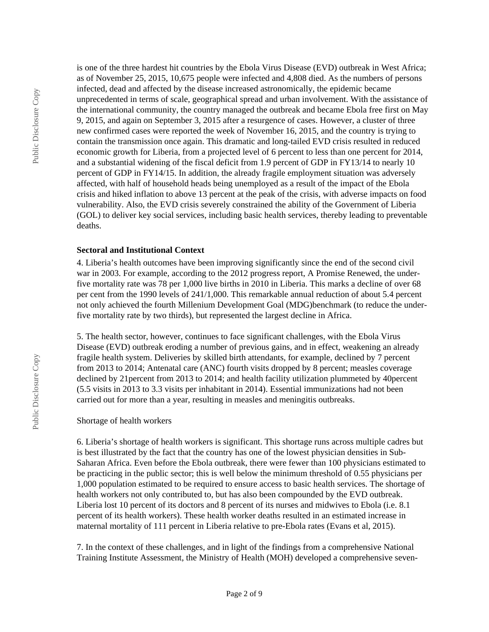is one of the three hardest hit countries by the Ebola Virus Disease (EVD) outbreak in West Africa; as of November 25, 2015, 10,675 people were infected and 4,808 died. As the numbers of persons infected, dead and affected by the disease increased astronomically, the epidemic became unprecedented in terms of scale, geographical spread and urban involvement. With the assistance of the international community, the country managed the outbreak and became Ebola free first on May 9, 2015, and again on September 3, 2015 after a resurgence of cases. However, a cluster of three new confirmed cases were reported the week of November 16, 2015, and the country is trying to contain the transmission once again. This dramatic and long-tailed EVD crisis resulted in reduced economic growth for Liberia, from a projected level of 6 percent to less than one percent for 2014, and a substantial widening of the fiscal deficit from 1.9 percent of GDP in FY13/14 to nearly 10 percent of GDP in FY14/15. In addition, the already fragile employment situation was adversely affected, with half of household heads being unemployed as a result of the impact of the Ebola crisis and hiked inflation to above 13 percent at the peak of the crisis, with adverse impacts on food vulnerability. Also, the EVD crisis severely constrained the ability of the Government of Liberia (GOL) to deliver key social services, including basic health services, thereby leading to preventable deaths.

### **Sectoral and Institutional Context**

4. Liberia's health outcomes have been improving significantly since the end of the second civil war in 2003. For example, according to the 2012 progress report, A Promise Renewed, the underfive mortality rate was 78 per 1,000 live births in 2010 in Liberia. This marks a decline of over 68 per cent from the 1990 levels of 241/1,000. This remarkable annual reduction of about 5.4 percent not only achieved the fourth Millenium Development Goal (MDG)benchmark (to reduce the underfive mortality rate by two thirds), but represented the largest decline in Africa.

5. The health sector, however, continues to face significant challenges, with the Ebola Virus Disease (EVD) outbreak eroding a number of previous gains, and in effect, weakening an already fragile health system. Deliveries by skilled birth attendants, for example, declined by 7 percent from 2013 to 2014; Antenatal care (ANC) fourth visits dropped by 8 percent; measles coverage declined by 21percent from 2013 to 2014; and health facility utilization plummeted by 40percent (5.5 visits in 2013 to 3.3 visits per inhabitant in 2014). Essential immunizations had not been carried out for more than a year, resulting in measles and meningitis outbreaks.

#### Shortage of health workers

6. Liberia's shortage of health workers is significant. This shortage runs across multiple cadres but is best illustrated by the fact that the country has one of the lowest physician densities in Sub-Saharan Africa. Even before the Ebola outbreak, there were fewer than 100 physicians estimated to be practicing in the public sector; this is well below the minimum threshold of 0.55 physicians per 1,000 population estimated to be required to ensure access to basic health services. The shortage of health workers not only contributed to, but has also been compounded by the EVD outbreak. Liberia lost 10 percent of its doctors and 8 percent of its nurses and midwives to Ebola (i.e. 8.1 percent of its health workers). These health worker deaths resulted in an estimated increase in maternal mortality of 111 percent in Liberia relative to pre-Ebola rates (Evans et al, 2015).

7. In the context of these challenges, and in light of the findings from a comprehensive National Training Institute Assessment, the Ministry of Health (MOH) developed a comprehensive seven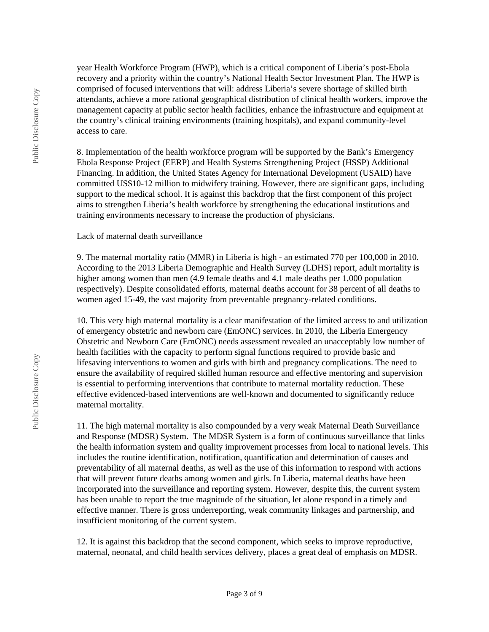year Health Workforce Program (HWP), which is a critical component of Liberia's post-Ebola recovery and a priority within the country's National Health Sector Investment Plan. The HWP is comprised of focused interventions that will: address Liberia's severe shortage of skilled birth attendants, achieve a more rational geographical distribution of clinical health workers, improve the management capacity at public sector health facilities, enhance the infrastructure and equipment at the country's clinical training environments (training hospitals), and expand community-level access to care.

8. Implementation of the health workforce program will be supported by the Bank's Emergency Ebola Response Project (EERP) and Health Systems Strengthening Project (HSSP) Additional Financing. In addition, the United States Agency for International Development (USAID) have committed US\$10-12 million to midwifery training. However, there are significant gaps, including support to the medical school. It is against this backdrop that the first component of this project aims to strengthen Liberia's health workforce by strengthening the educational institutions and training environments necessary to increase the production of physicians.

#### Lack of maternal death surveillance

9. The maternal mortality ratio (MMR) in Liberia is high - an estimated 770 per 100,000 in 2010. According to the 2013 Liberia Demographic and Health Survey (LDHS) report, adult mortality is higher among women than men (4.9 female deaths and 4.1 male deaths per 1,000 population respectively). Despite consolidated efforts, maternal deaths account for 38 percent of all deaths to women aged 15-49, the vast majority from preventable pregnancy-related conditions.

10. This very high maternal mortality is a clear manifestation of the limited access to and utilization of emergency obstetric and newborn care (EmONC) services. In 2010, the Liberia Emergency Obstetric and Newborn Care (EmONC) needs assessment revealed an unacceptably low number of health facilities with the capacity to perform signal functions required to provide basic and lifesaving interventions to women and girls with birth and pregnancy complications. The need to ensure the availability of required skilled human resource and effective mentoring and supervision is essential to performing interventions that contribute to maternal mortality reduction. These effective evidenced-based interventions are well-known and documented to significantly reduce maternal mortality.

11. The high maternal mortality is also compounded by a very weak Maternal Death Surveillance and Response (MDSR) System. The MDSR System is a form of continuous surveillance that links the health information system and quality improvement processes from local to national levels. This includes the routine identification, notification, quantification and determination of causes and preventability of all maternal deaths, as well as the use of this information to respond with actions that will prevent future deaths among women and girls. In Liberia, maternal deaths have been incorporated into the surveillance and reporting system. However, despite this, the current system has been unable to report the true magnitude of the situation, let alone respond in a timely and effective manner. There is gross underreporting, weak community linkages and partnership, and insufficient monitoring of the current system.

12. It is against this backdrop that the second component, which seeks to improve reproductive, maternal, neonatal, and child health services delivery, places a great deal of emphasis on MDSR.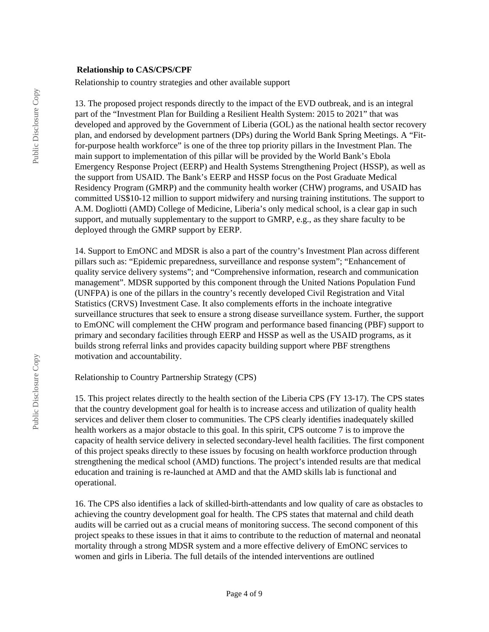#### **Relationship to CAS/CPS/CPF**

Relationship to country strategies and other available support

13. The proposed project responds directly to the impact of the EVD outbreak, and is an integral part of the "Investment Plan for Building a Resilient Health System: 2015 to 2021" that was developed and approved by the Government of Liberia (GOL) as the national health sector recovery plan, and endorsed by development partners (DPs) during the World Bank Spring Meetings. A "Fitfor-purpose health workforce" is one of the three top priority pillars in the Investment Plan. The main support to implementation of this pillar will be provided by the World Bank's Ebola Emergency Response Project (EERP) and Health Systems Strengthening Project (HSSP), as well as the support from USAID. The Bank's EERP and HSSP focus on the Post Graduate Medical Residency Program (GMRP) and the community health worker (CHW) programs, and USAID has committed US\$10-12 million to support midwifery and nursing training institutions. The support to A.M. Dogliotti (AMD) College of Medicine, Liberia's only medical school, is a clear gap in such support, and mutually supplementary to the support to GMRP, e.g., as they share faculty to be deployed through the GMRP support by EERP.

14. Support to EmONC and MDSR is also a part of the country's Investment Plan across different pillars such as: "Epidemic preparedness, surveillance and response system"; "Enhancement of quality service delivery systems"; and "Comprehensive information, research and communication management". MDSR supported by this component through the United Nations Population Fund (UNFPA) is one of the pillars in the country's recently developed Civil Registration and Vital Statistics (CRVS) Investment Case. It also complements efforts in the inchoate integrative surveillance structures that seek to ensure a strong disease surveillance system. Further, the support to EmONC will complement the CHW program and performance based financing (PBF) support to primary and secondary facilities through EERP and HSSP as well as the USAID programs, as it builds strong referral links and provides capacity building support where PBF strengthens motivation and accountability.

Relationship to Country Partnership Strategy (CPS)

15. This project relates directly to the health section of the Liberia CPS (FY 13-17). The CPS states that the country development goal for health is to increase access and utilization of quality health services and deliver them closer to communities. The CPS clearly identifies inadequately skilled health workers as a major obstacle to this goal. In this spirit, CPS outcome 7 is to improve the capacity of health service delivery in selected secondary-level health facilities. The first component of this project speaks directly to these issues by focusing on health workforce production through strengthening the medical school (AMD) functions. The project's intended results are that medical education and training is re-launched at AMD and that the AMD skills lab is functional and operational.

16. The CPS also identifies a lack of skilled-birth-attendants and low quality of care as obstacles to achieving the country development goal for health. The CPS states that maternal and child death audits will be carried out as a crucial means of monitoring success. The second component of this project speaks to these issues in that it aims to contribute to the reduction of maternal and neonatal mortality through a strong MDSR system and a more effective delivery of EmONC services to women and girls in Liberia. The full details of the intended interventions are outlined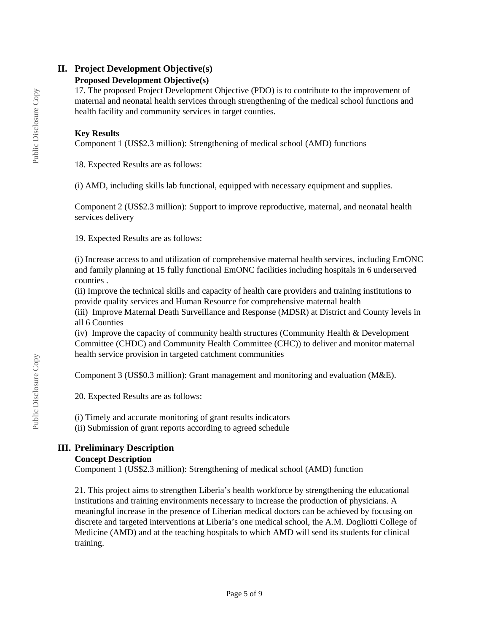# **II. Project Development Objective(s)**

## **Proposed Development Objective(s)**

17. The proposed Project Development Objective (PDO) is to contribute to the improvement of maternal and neonatal health services through strengthening of the medical school functions and health facility and community services in target counties.

## **Key Results**

Component 1 (US\$2.3 million): Strengthening of medical school (AMD) functions

18. Expected Results are as follows:

(i) AMD, including skills lab functional, equipped with necessary equipment and supplies.

Component 2 (US\$2.3 million): Support to improve reproductive, maternal, and neonatal health services delivery

19. Expected Results are as follows:

(i) Increase access to and utilization of comprehensive maternal health services, including EmONC and family planning at 15 fully functional EmONC facilities including hospitals in 6 underserved counties .

(ii) Improve the technical skills and capacity of health care providers and training institutions to provide quality services and Human Resource for comprehensive maternal health

(iii) Improve Maternal Death Surveillance and Response (MDSR) at District and County levels in all 6 Counties

(iv) Improve the capacity of community health structures (Community Health & Development Committee (CHDC) and Community Health Committee (CHC)) to deliver and monitor maternal health service provision in targeted catchment communities

Component 3 (US\$0.3 million): Grant management and monitoring and evaluation (M&E).

20. Expected Results are as follows:

(i) Timely and accurate monitoring of grant results indicators

(ii) Submission of grant reports according to agreed schedule

# **III. Preliminary Description**

# **Concept Description**

Component 1 (US\$2.3 million): Strengthening of medical school (AMD) function

21. This project aims to strengthen Liberia's health workforce by strengthening the educational institutions and training environments necessary to increase the production of physicians. A meaningful increase in the presence of Liberian medical doctors can be achieved by focusing on discrete and targeted interventions at Liberia's one medical school, the A.M. Dogliotti College of Medicine (AMD) and at the teaching hospitals to which AMD will send its students for clinical training.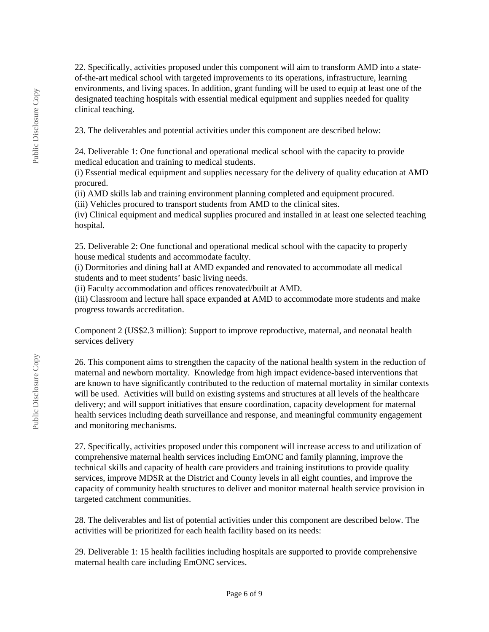22. Specifically, activities proposed under this component will aim to transform AMD into a stateof-the-art medical school with targeted improvements to its operations, infrastructure, learning environments, and living spaces. In addition, grant funding will be used to equip at least one of the designated teaching hospitals with essential medical equipment and supplies needed for quality clinical teaching.

23. The deliverables and potential activities under this component are described below:

24. Deliverable 1: One functional and operational medical school with the capacity to provide medical education and training to medical students.

(i) Essential medical equipment and supplies necessary for the delivery of quality education at AMD procured.

(ii) AMD skills lab and training environment planning completed and equipment procured.

(iii) Vehicles procured to transport students from AMD to the clinical sites.

(iv) Clinical equipment and medical supplies procured and installed in at least one selected teaching hospital.

25. Deliverable 2: One functional and operational medical school with the capacity to properly house medical students and accommodate faculty.

(i) Dormitories and dining hall at AMD expanded and renovated to accommodate all medical students and to meet students' basic living needs.

(ii) Faculty accommodation and offices renovated/built at AMD.

(iii) Classroom and lecture hall space expanded at AMD to accommodate more students and make progress towards accreditation.

Component 2 (US\$2.3 million): Support to improve reproductive, maternal, and neonatal health services delivery

26. This component aims to strengthen the capacity of the national health system in the reduction of maternal and newborn mortality. Knowledge from high impact evidence-based interventions that are known to have significantly contributed to the reduction of maternal mortality in similar contexts will be used. Activities will build on existing systems and structures at all levels of the healthcare delivery; and will support initiatives that ensure coordination, capacity development for maternal health services including death surveillance and response, and meaningful community engagement and monitoring mechanisms.

27. Specifically, activities proposed under this component will increase access to and utilization of comprehensive maternal health services including EmONC and family planning, improve the technical skills and capacity of health care providers and training institutions to provide quality services, improve MDSR at the District and County levels in all eight counties, and improve the capacity of community health structures to deliver and monitor maternal health service provision in targeted catchment communities.

28. The deliverables and list of potential activities under this component are described below. The activities will be prioritized for each health facility based on its needs:

29. Deliverable 1: 15 health facilities including hospitals are supported to provide comprehensive maternal health care including EmONC services.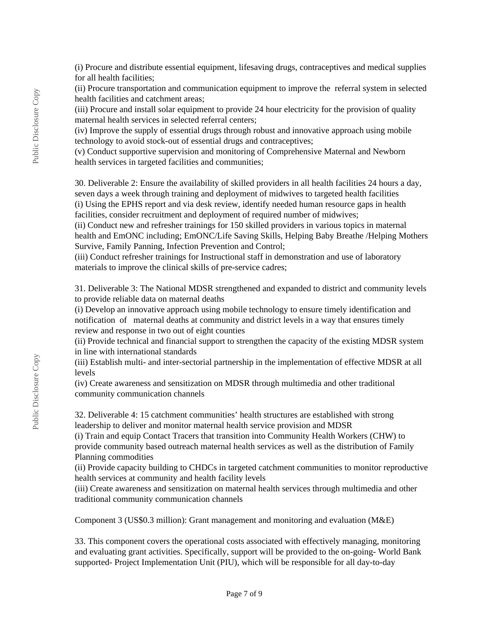(i) Procure and distribute essential equipment, lifesaving drugs, contraceptives and medical supplies for all health facilities;

(ii) Procure transportation and communication equipment to improve the referral system in selected health facilities and catchment areas;

(iii) Procure and install solar equipment to provide 24 hour electricity for the provision of quality maternal health services in selected referral centers;

(iv) Improve the supply of essential drugs through robust and innovative approach using mobile technology to avoid stock-out of essential drugs and contraceptives;

(v) Conduct supportive supervision and monitoring of Comprehensive Maternal and Newborn health services in targeted facilities and communities;

30. Deliverable 2: Ensure the availability of skilled providers in all health facilities 24 hours a day, seven days a week through training and deployment of midwives to targeted health facilities (i) Using the EPHS report and via desk review, identify needed human resource gaps in health facilities, consider recruitment and deployment of required number of midwives;

(ii) Conduct new and refresher trainings for 150 skilled providers in various topics in maternal health and EmONC including; EmONC/Life Saving Skills, Helping Baby Breathe /Helping Mothers Survive, Family Panning, Infection Prevention and Control;

(iii) Conduct refresher trainings for Instructional staff in demonstration and use of laboratory materials to improve the clinical skills of pre-service cadres;

31. Deliverable 3: The National MDSR strengthened and expanded to district and community levels to provide reliable data on maternal deaths

(i) Develop an innovative approach using mobile technology to ensure timely identification and notification of maternal deaths at community and district levels in a way that ensures timely review and response in two out of eight counties

(ii) Provide technical and financial support to strengthen the capacity of the existing MDSR system in line with international standards

(iii) Establish multi- and inter-sectorial partnership in the implementation of effective MDSR at all levels

(iv) Create awareness and sensitization on MDSR through multimedia and other traditional community communication channels

32. Deliverable 4: 15 catchment communities' health structures are established with strong leadership to deliver and monitor maternal health service provision and MDSR

(i) Train and equip Contact Tracers that transition into Community Health Workers (CHW) to provide community based outreach maternal health services as well as the distribution of Family Planning commodities

(ii) Provide capacity building to CHDCs in targeted catchment communities to monitor reproductive health services at community and health facility levels

(iii) Create awareness and sensitization on maternal health services through multimedia and other traditional community communication channels

Component 3 (US\$0.3 million): Grant management and monitoring and evaluation (M&E)

33. This component covers the operational costs associated with effectively managing, monitoring and evaluating grant activities. Specifically, support will be provided to the on-going- World Bank supported- Project Implementation Unit (PIU), which will be responsible for all day-to-day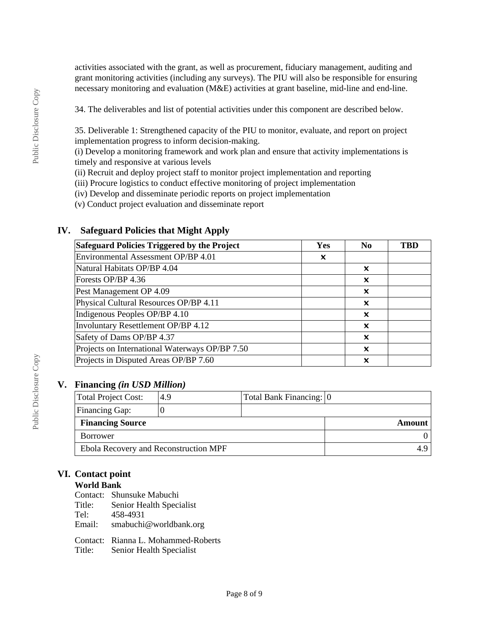activities associated with the grant, as well as procurement, fiduciary management, auditing and grant monitoring activities (including any surveys). The PIU will also be responsible for ensuring necessary monitoring and evaluation (M&E) activities at grant baseline, mid-line and end-line.

34. The deliverables and list of potential activities under this component are described below.

35. Deliverable 1: Strengthened capacity of the PIU to monitor, evaluate, and report on project implementation progress to inform decision-making.

(i) Develop a monitoring framework and work plan and ensure that activity implementations is timely and responsive at various levels

(ii) Recruit and deploy project staff to monitor project implementation and reporting

(iii) Procure logistics to conduct effective monitoring of project implementation

(iv) Develop and disseminate periodic reports on project implementation

(v) Conduct project evaluation and disseminate report

# **IV. Safeguard Policies that Might Apply**

| Safeguard Policies Triggered by the Project    | Yes | N <sub>0</sub>            | TBD |
|------------------------------------------------|-----|---------------------------|-----|
| Environmental Assessment OP/BP 4.01            | x   |                           |     |
| Natural Habitats OP/BP 4.04                    |     | x                         |     |
| Forests OP/BP 4.36                             |     | $\boldsymbol{\mathsf{x}}$ |     |
| Pest Management OP 4.09                        |     | x                         |     |
| Physical Cultural Resources OP/BP 4.11         |     | ×                         |     |
| Indigenous Peoples OP/BP 4.10                  |     | x                         |     |
| Involuntary Resettlement OP/BP 4.12            |     | x                         |     |
| Safety of Dams OP/BP 4.37                      |     | $\boldsymbol{\mathsf{x}}$ |     |
| Projects on International Waterways OP/BP 7.50 |     | ×                         |     |
| Projects in Disputed Areas OP/BP 7.60          |     | ×                         |     |

## **V. Financing** *(in USD Million)*

| Total Project Cost:                   | 4.9 | Total Bank Financing: 0 |        |
|---------------------------------------|-----|-------------------------|--------|
| Financing Gap:                        |     |                         |        |
| <b>Financing Source</b>               |     |                         | Amount |
| Borrower                              |     |                         |        |
| Ebola Recovery and Reconstruction MPF |     |                         |        |

# **VI. Contact point**

## **World Bank**

Contact: Shunsuke Mabuchi<br>Title: Senior Health Speci

- Senior Health Specialist
- Tel: 458-4931
- Email: smabuchi@worldbank.org

Contact: Rianna L. Mohammed-Roberts Title: Senior Health Specialist